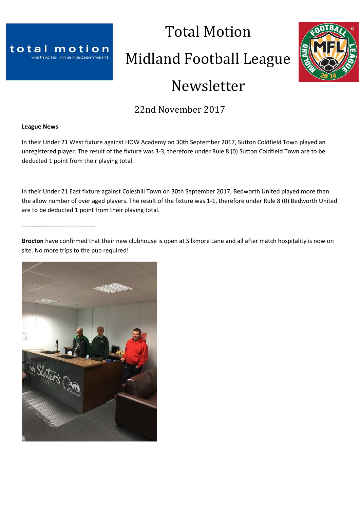

# Total Motion Midland Football League Newsletter



# 22nd November 2017

#### **League News**

In their Under 21 West fixture against HOW Academy on 30th September 2017, Sutton Coldfield Town played an unregistered player. The result of the fixture was 3-3, therefore under Rule 8 (0) Sutton Coldfield Town are to be deducted 1 point from their playing total.

In their Under 21 East fixture against Coleshill Town on 30th September 2017, Bedworth United played more than the allow number of over aged players. The result of the fixture was 1-1, therefore under Rule 8 (0) Bedworth United are to be deducted 1 point from their playing total.

**------------------------------------**

**Brocton** have confirmed that their new clubhouse is open at Silkmore Lane and all after match hospitality is now on site. No more trips to the pub required!

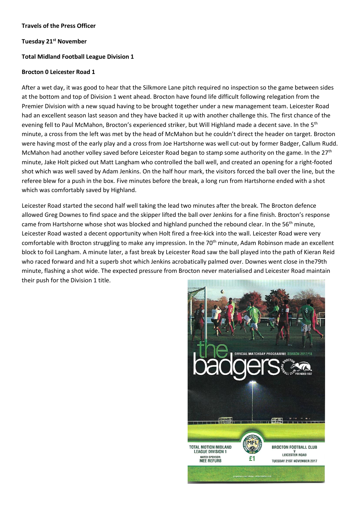#### **Travels of the Press Officer**

#### **Tuesday 21st November**

#### **Total Midland Football League Division 1**

#### **Brocton 0 Leicester Road 1**

After a wet day, it was good to hear that the Silkmore Lane pitch required no inspection so the game between sides at the bottom and top of Division 1 went ahead. Brocton have found life difficult following relegation from the Premier Division with a new squad having to be brought together under a new management team. Leicester Road had an excellent season last season and they have backed it up with another challenge this. The first chance of the evening fell to Paul McMahon, Brocton's experienced striker, but Will Highland made a decent save. In the 5<sup>th</sup> minute, a cross from the left was met by the head of McMahon but he couldn't direct the header on target. Brocton were having most of the early play and a cross from Joe Hartshorne was well cut-out by former Badger, Callum Rudd. McMahon had another volley saved before Leicester Road began to stamp some authority on the game. In the 27<sup>th</sup> minute, Jake Holt picked out Matt Langham who controlled the ball well, and created an opening for a right-footed shot which was well saved by Adam Jenkins. On the half hour mark, the visitors forced the ball over the line, but the referee blew for a push in the box. Five minutes before the break, a long run from Hartshorne ended with a shot which was comfortably saved by Highland.

Leicester Road started the second half well taking the lead two minutes after the break. The Brocton defence allowed Greg Downes to find space and the skipper lifted the ball over Jenkins for a fine finish. Brocton's response came from Hartshorne whose shot was blocked and highland punched the rebound clear. In the  $56<sup>th</sup>$  minute, Leicester Road wasted a decent opportunity when Holt fired a free-kick into the wall. Leicester Road were very comfortable with Brocton struggling to make any impression. In the 70<sup>th</sup> minute, Adam Robinson made an excellent block to foil Langham. A minute later, a fast break by Leicester Road saw the ball played into the path of Kieran Reid who raced forward and hit a superb shot which Jenkins acrobatically palmed over. Downes went close in the79th minute, flashing a shot wide. The expected pressure from Brocton never materialised and Leicester Road maintain their push for the Division 1 title.

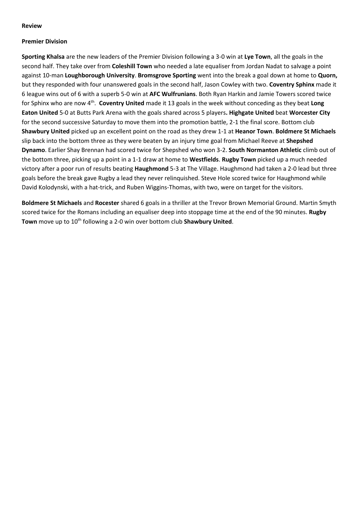#### **Review**

#### **Premier Division**

**Sporting Khalsa** are the new leaders of the Premier Division following a 3-0 win at **Lye Town**, all the goals in the second half. They take over from **Coleshill Town** who needed a late equaliser from Jordan Nadat to salvage a point against 10-man **Loughborough University**. **Bromsgrove Sporting** went into the break a goal down at home to **Quorn,** but they responded with four unanswered goals in the second half, Jason Cowley with two. **Coventry Sphinx** made it 6 league wins out of 6 with a superb 5-0 win at **AFC Wulfrunians**. Both Ryan Harkin and Jamie Towers scored twice for Sphinx who are now 4<sup>th</sup>. Coventry United made it 13 goals in the week without conceding as they beat Long **Eaton United** 5-0 at Butts Park Arena with the goals shared across 5 players**. Highgate United** beat **Worcester City** for the second successive Saturday to move them into the promotion battle, 2-1 the final score. Bottom club **Shawbury United** picked up an excellent point on the road as they drew 1-1 at **Heanor Town**. **Boldmere St Michaels** slip back into the bottom three as they were beaten by an injury time goal from Michael Reeve at **Shepshed Dynamo**. Earlier Shay Brennan had scored twice for Shepshed who won 3-2. **South Normanton Athletic** climb out of the bottom three, picking up a point in a 1-1 draw at home to **Westfields**. **Rugby Town** picked up a much needed victory after a poor run of results beating **Haughmond** 5-3 at The Village. Haughmond had taken a 2-0 lead but three goals before the break gave Rugby a lead they never relinquished. Steve Hole scored twice for Haughmond while David Kolodynski, with a hat-trick, and Ruben Wiggins-Thomas, with two, were on target for the visitors.

**Boldmere St Michaels** and **Rocester** shared 6 goals in a thriller at the Trevor Brown Memorial Ground. Martin Smyth scored twice for the Romans including an equaliser deep into stoppage time at the end of the 90 minutes. **Rugby Town** move up to 10<sup>th</sup> following a 2-0 win over bottom club **Shawbury United**.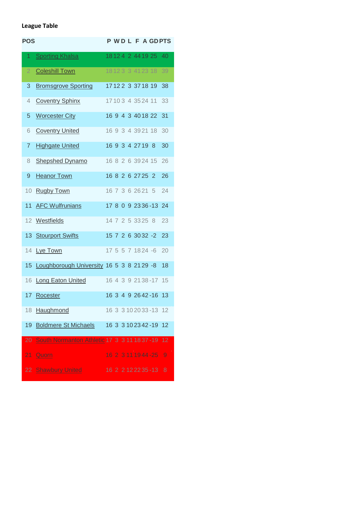# **League Table**

| <b>POS</b>      |                                               |  |  |                   |                         | P WD L F A GDPTS |
|-----------------|-----------------------------------------------|--|--|-------------------|-------------------------|------------------|
| 1.              | <b>Sporting Khalsa</b>                        |  |  |                   | 18 12 4 2 44 19 25 40   |                  |
| $\overline{2}$  | <b>Coleshill Town</b>                         |  |  |                   | 18 12 3 3 41 23 18      | 39               |
| 3               | <b>Bromsgrove Sporting</b>                    |  |  |                   | 17122 3 3718 19         | 38               |
| 4               | <b>Coventry Sphinx</b>                        |  |  |                   | 17103 4 3524 11         | 33               |
| 5               | <b>Worcester City</b>                         |  |  |                   | 16 9 4 3 40 18 22       | 31               |
| 6               | <b>Coventry United</b>                        |  |  |                   | 16 9 3 4 39 21 18       | 30               |
| 7               | <b>Highgate United</b>                        |  |  | 16 9 3 4 27 19 8  |                         | 30               |
| 8               | <b>Shepshed Dynamo</b>                        |  |  |                   | 16 8 2 6 39 24 15       | 26               |
| 9               | <b>Heanor Town</b>                            |  |  | 16 8 2 6 27 25 2  |                         | 26               |
| 10              | <b>Rugby Town</b>                             |  |  | 16 7 3 6 26 21 5  |                         | 24               |
| 11              | <b>AFC Wulfrunians</b>                        |  |  |                   | 17 8 0 9 23 36 - 13 24  |                  |
| 12 <sup>2</sup> | Westfields                                    |  |  | 14 7 2 5 33 25 8  |                         | 23               |
|                 | 13 Stourport Swifts                           |  |  |                   | 15 7 2 6 30 32 -2       | 23               |
| 14              | Lye Town                                      |  |  | 17 5 5 7 18 24 -6 |                         | 20               |
|                 | 15 Loughborough University 16 5 3 8 21 29 -8  |  |  |                   |                         | 18               |
|                 | 16 Long Eaton United                          |  |  |                   | 16 4 3 9 21 38 - 17 15  |                  |
|                 | 17 Rocester                                   |  |  |                   | 16 3 4 9 2642-16 13     |                  |
| 18              | Haughmond                                     |  |  |                   | 16 3 3 10 20 33 - 13 12 |                  |
| 19              | <b>Boldmere St Michaels</b>                   |  |  |                   | 16 3 3 10 23 42 - 19    | 12               |
| $\overline{20}$ | South Normanton Athletic 17 3 3 11 18 37 - 19 |  |  |                   |                         | 12               |
| 21              | <b>Quorn</b>                                  |  |  |                   | 16 2 3 11 19 44 - 25    | 9                |
|                 | 22 Shawbury United                            |  |  |                   | 16 2 2 12 22 35 - 13    | 8                |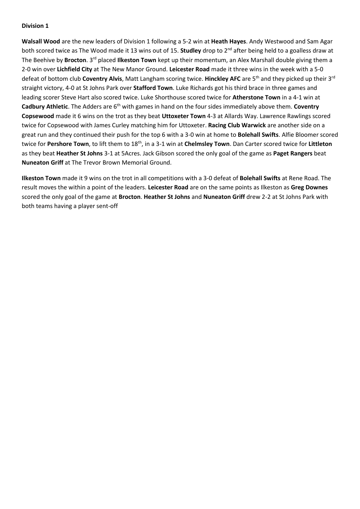**Walsall Wood** are the new leaders of Division 1 following a 5-2 win at **Heath Hayes**. Andy Westwood and Sam Agar both scored twice as The Wood made it 13 wins out of 15. **Studley** drop to 2nd after being held to a goalless draw at The Beehive by **Brocton**. 3rd placed **Ilkeston Town** kept up their momentum, an Alex Marshall double giving them a 2-0 win over **Lichfield City** at The New Manor Ground. **Leicester Road** made it three wins in the week with a 5-0 defeat of bottom club **Coventry Alvis**, Matt Langham scoring twice. **Hinckley AFC** are 5th and they picked up their 3rd straight victory, 4-0 at St Johns Park over **Stafford Town**. Luke Richards got his third brace in three games and leading scorer Steve Hart also scored twice. Luke Shorthouse scored twice for **Atherstone Town** in a 4-1 win at **Cadbury Athletic**. The Adders are 6th with games in hand on the four sides immediately above them. **Coventry Copsewood** made it 6 wins on the trot as they beat **Uttoxeter Town** 4-3 at Allards Way. Lawrence Rawlings scored twice for Copsewood with James Curley matching him for Uttoxeter. **Racing Club Warwick** are another side on a great run and they continued their push for the top 6 with a 3-0 win at home to **Bolehall Swifts**. Alfie Bloomer scored twice for **Pershore Town**, to lift them to 18th, in a 3-1 win at **Chelmsley Town**. Dan Carter scored twice for **Littleton** as they beat **Heather St Johns** 3-1 at 5Acres. Jack Gibson scored the only goal of the game as **Paget Rangers** beat **Nuneaton Griff** at The Trevor Brown Memorial Ground.

**Ilkeston Town** made it 9 wins on the trot in all competitions with a 3-0 defeat of **Bolehall Swifts** at Rene Road. The result moves the within a point of the leaders. **Leicester Road** are on the same points as Ilkeston as **Greg Downes** scored the only goal of the game at **Brocton**. **Heather St Johns** and **Nuneaton Griff** drew 2-2 at St Johns Park with both teams having a player sent-off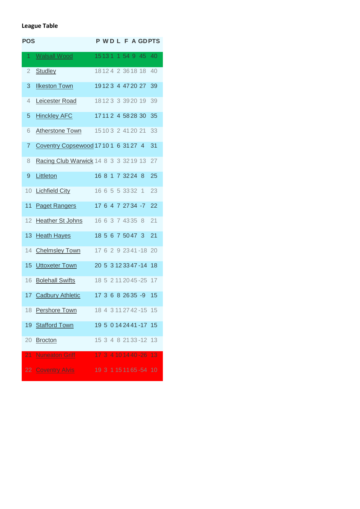# **League Table**

| <b>POS</b>     |                                        |  |  |                    |                         | P WD L F A GDPTS |
|----------------|----------------------------------------|--|--|--------------------|-------------------------|------------------|
| 1.             | <b>Walsall Wood</b>                    |  |  |                    | 15 13 1 1 54 9 45       | 40               |
| $\overline{2}$ | <b>Studley</b>                         |  |  |                    | 18124 2 3618 18         | 40               |
| 3              | <b>Ilkeston Town</b>                   |  |  |                    | 19123 4 47 20 27        | 39               |
| 4              | Leicester Road                         |  |  |                    | 18123 3 3920 19         | 39               |
| 5              | <b>Hinckley AFC</b>                    |  |  |                    | 17112 4 5828 30         | 35               |
| 6              | <b>Atherstone Town</b>                 |  |  |                    | 15 10 3 2 41 20 21      | 33               |
| 7              | Coventry Copsewood 17101 6 3127 4      |  |  |                    |                         | 31               |
| 8              | Racing Club Warwick 14 8 3 3 3 3 19 13 |  |  |                    |                         | 27               |
| 9              | Littleton                              |  |  | 16 8 1 7 3 2 2 4 8 |                         | 25               |
| 10             | <b>Lichfield City</b>                  |  |  | 16 6 5 5 3 3 3 2 1 |                         | 23               |
| 11             | <b>Paget Rangers</b>                   |  |  |                    | 17 6 4 7 27 34 -7       | 22               |
| 12             | <b>Heather St Johns</b>                |  |  | 16 6 3 7 43 35 8   |                         | 21               |
| 13             | <b>Heath Hayes</b>                     |  |  |                    | 18 5 6 7 50 47 3        | 21               |
| 14             | <b>Chelmsley Town</b>                  |  |  |                    | 17 6 2 9 23 41 - 18 20  |                  |
| 15             | Uttoxeter Town                         |  |  |                    | 20 5 3 12 33 47 - 14 18 |                  |
| 16             | <b>Bolehall Swifts</b>                 |  |  |                    | 18 5 2 11 20 45 - 25 17 |                  |
|                | 17 Cadbury Athletic                    |  |  |                    | 17 3 6 8 26 35 -9       | 15               |
|                | 18 Pershore Town                       |  |  |                    | 18 4 3 11 27 42 - 15 15 |                  |
| 19             | <b>Stafford Town</b>                   |  |  |                    | 19 5 0 14 24 41 - 17 15 |                  |
| 20             | <b>Brocton</b>                         |  |  |                    | 15 3 4 8 21 33 - 12 13  |                  |
|                | 21 Nuneaton Griff                      |  |  |                    | 17 3 4 10 14 40 - 26 13 |                  |
|                | 22 Coventry Alvis                      |  |  |                    | 19 3 1 15 11 65 - 54 10 |                  |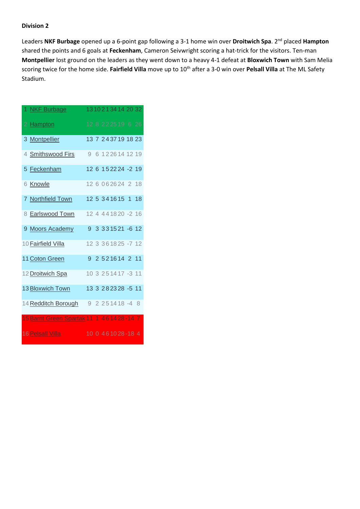Leaders **NKF Burbage** opened up a 6-point gap following a 3-1 home win over **Droitwich Spa**. 2nd placed **Hampton** shared the points and 6 goals at **Feckenham**, Cameron Seivwright scoring a hat-trick for the visitors. Ten-man **Montpellier** lost ground on the leaders as they went down to a heavy 4-1 defeat at **Bloxwich Town** with Sam Melia scoring twice for the home side. Fairfield Villa move up to 10<sup>th</sup> after a 3-0 win over Pelsall Villa at The ML Safety Stadium.

| 1 NKF Burbage               |  |  | 13102134142032           |  |
|-----------------------------|--|--|--------------------------|--|
| 2 Hampton                   |  |  | 12 8 2225 19 6 26        |  |
| 3 Montpellier               |  |  | 13 7 243719 18 23        |  |
| 4 Smithswood Firs           |  |  | 9 6 122614 12 19         |  |
| 5 Feckenham                 |  |  | 12 6 152224 -2 19        |  |
| 6 Knowle                    |  |  | 12 6 0 6 2 6 24 2 18     |  |
| 7 Northfield Town           |  |  | 12 5 3 4 1 6 1 5 1 1 8   |  |
| 8 Earlswood Town            |  |  | 12 4 4 4 1 8 20 - 2 16   |  |
| 9 Moors Academy             |  |  | 9 3 3 3 1 5 21 - 6 1 2   |  |
| 10 Fairfield Villa          |  |  | 12 3 3 6 1 8 2 5 - 7 1 2 |  |
| 11 Coton Green              |  |  | 9 2 5 2 1 6 1 4 2 11     |  |
| 12 Droitwich Spa            |  |  | 10 3 2 5 1 4 1 7 - 3 11  |  |
| <b>13 Bloxwich Town</b>     |  |  | 13 3 2 8 2 3 2 8 - 5 11  |  |
| 14 Redditch Borough         |  |  | $92251418 - 48$          |  |
| 15 Barnt Green Spartak 11 1 |  |  | 461428-147               |  |
| <b>16 Pelsall Villa</b>     |  |  | 10 0 461028-18 4         |  |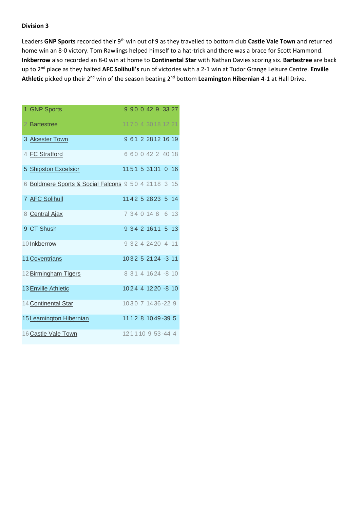Leaders **GNP Sports** recorded their 9th win out of 9 as they travelled to bottom club **Castle Vale Town** and returned home win an 8-0 victory. Tom Rawlings helped himself to a hat-trick and there was a brace for Scott Hammond. **Inkberrow** also recorded an 8-0 win at home to **Continental Star** with Nathan Davies scoring six. **Bartestree** are back up to 2nd place as they halted **AFC Solihull's** run of victories with a 2-1 win at Tudor Grange Leisure Centre. **Enville Athletic** picked up their 2nd win of the season beating 2nd bottom **Leamington Hibernian** 4-1 at Hall Drive.

| 1 GNP Sports                                          | 9 9 0 0 4 2 9 3 3 2 7  |  |  |  |
|-------------------------------------------------------|------------------------|--|--|--|
| 2 Bartestree                                          | 1170 4 30 18 12 21     |  |  |  |
| 3 Alcester Town                                       | 9 61 2 28 12 16 19     |  |  |  |
| 4 FC Stratford                                        | 6 60 0 42 2 40 18      |  |  |  |
| 5 Shipston Excelsior                                  | 1151 5 3131 0 16       |  |  |  |
| 6 Boldmere Sports & Social Falcons 9 5 0 4 21 18 3 15 |                        |  |  |  |
| 7 AFC Solihull                                        | 1142 5 28 23 5 14      |  |  |  |
| 8 Central Ajax                                        | 7 34 0 14 8 6 13       |  |  |  |
| 9 CT Shush                                            | 9 34 2 16 11 5 13      |  |  |  |
| 10 Inkberrow                                          | 9 3 2 4 24 20 4 11     |  |  |  |
| <b>11 Coventrians</b>                                 | 1032 5 21 24 -3 11     |  |  |  |
| 12 Birmingham Tigers                                  | 8 3 1 4 1 6 2 4 - 8 10 |  |  |  |
| <b>13 Enville Athletic</b>                            | 1024 4 1220 -8 10      |  |  |  |
| 14 Continental Star                                   | 1030 7 1436-22 9       |  |  |  |
| 15 Leamington Hibernian                               | 1112 8 1049-39 5       |  |  |  |
| 16 Castle Vale Town                                   | 121110953-444          |  |  |  |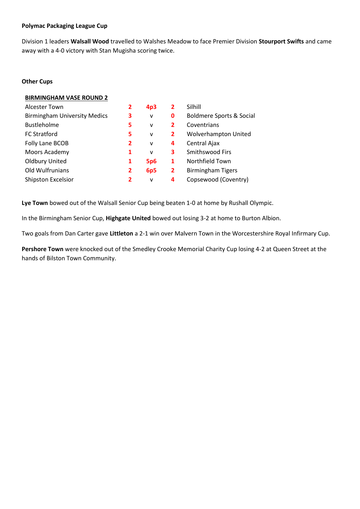#### **Polymac Packaging League Cup**

Division 1 leaders **Walsall Wood** travelled to Walshes Meadow to face Premier Division **Stourport Swifts** and came away with a 4-0 victory with Stan Mugisha scoring twice.

#### **Other Cups**

#### **BIRMINGHAM VASE ROUND 2**

| <b>Alcester Town</b>                | 2              | 4p3          | $\mathbf{2}$   | Silhill                             |
|-------------------------------------|----------------|--------------|----------------|-------------------------------------|
| <b>Birmingham University Medics</b> | 3              | $\mathsf{v}$ | 0              | <b>Boldmere Sports &amp; Social</b> |
| <b>Bustleholme</b>                  | 5              | v            | 2              | Coventrians                         |
| <b>FC Stratford</b>                 | 5              | $\mathsf{v}$ | $\overline{2}$ | Wolverhampton United                |
| Folly Lane BCOB                     | $\overline{2}$ | v            | 4              | Central Ajax                        |
| Moors Academy                       | 1              | $\mathsf{V}$ | 3              | Smithswood Firs                     |
| <b>Oldbury United</b>               | 1              | <b>5p6</b>   | 1              | Northfield Town                     |
| Old Wulfrunians                     | 2              | 6p5          | $\overline{2}$ | <b>Birmingham Tigers</b>            |
| Shipston Excelsior                  | 2              | $\mathsf{v}$ | 4              | Copsewood (Coventry)                |

**Lye Town** bowed out of the Walsall Senior Cup being beaten 1-0 at home by Rushall Olympic.

In the Birmingham Senior Cup, **Highgate United** bowed out losing 3-2 at home to Burton Albion.

Two goals from Dan Carter gave **Littleton** a 2-1 win over Malvern Town in the Worcestershire Royal Infirmary Cup.

**Pershore Town** were knocked out of the Smedley Crooke Memorial Charity Cup losing 4-2 at Queen Street at the hands of Bilston Town Community.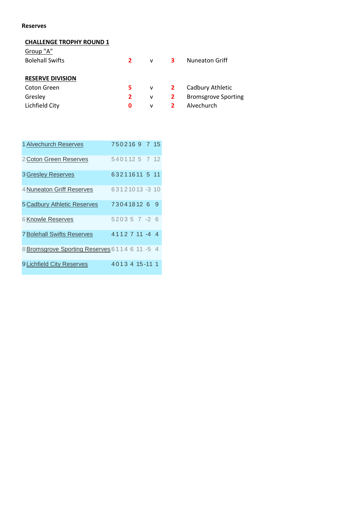#### **Reserves**

# **CHALLENGE TROPHY ROUND 1**

| Group "A"               |              |              |                         |                            |
|-------------------------|--------------|--------------|-------------------------|----------------------------|
| <b>Bolehall Swifts</b>  | $\mathbf{2}$ | V            | $\overline{\mathbf{3}}$ | <b>Nuneaton Griff</b>      |
|                         |              |              |                         |                            |
| <b>RESERVE DIVISION</b> |              |              |                         |                            |
| Coton Green             | 5.           |              | $v = 2$                 | Cadbury Athletic           |
| Gresley                 | $\mathbf{2}$ | v            | $\mathbf{2}$            | <b>Bromsgrove Sporting</b> |
| Lichfield City          | 0            | $\mathsf{v}$ | $\overline{2}$          | Alvechurch                 |
|                         |              |              |                         |                            |

| 1 Alvechurch Reserves                         | 7502169 7 15 |  |  |                |  |
|-----------------------------------------------|--------------|--|--|----------------|--|
| 2 Coton Green Reserves                        |              |  |  | 5401125 7 12   |  |
| <b>3 Gresley Reserves</b>                     |              |  |  | 63211611 5 11  |  |
| 4 Nuneaton Griff Reserves                     |              |  |  | 63121013-310   |  |
| 5 Cadbury Athletic Reserves                   |              |  |  | 73041812 6 9   |  |
| 6 Knowle Reserves                             |              |  |  | $520357 - 26$  |  |
| <b>7 Bolehall Swifts Reserves</b>             |              |  |  | 4112711-44     |  |
| 8 Bromsgrove Sporting Reserves 6114 6 11 -5 4 |              |  |  |                |  |
| 9 Lichfield City Reserves                     |              |  |  | 4013 4 15-11 1 |  |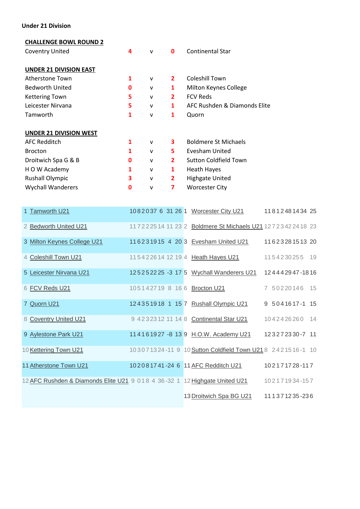#### **Under 21 Division**

#### **CHALLENGE BOWL ROUND 2**

| <b>Coventry United</b>        | 4 | $\mathsf{V}$ | 0              | <b>Continental Star</b>      |
|-------------------------------|---|--------------|----------------|------------------------------|
| <b>UNDER 21 DIVISION EAST</b> |   |              |                |                              |
| Atherstone Town               | 1 | $\mathsf{v}$ | $\mathbf{2}$   | <b>Coleshill Town</b>        |
| <b>Bedworth United</b>        | 0 | $\mathsf{v}$ | 1              | Milton Keynes College        |
| <b>Kettering Town</b>         | 5 | $\mathsf{v}$ | $\mathbf{2}$   | <b>FCV Reds</b>              |
| Leicester Nirvana             | 5 | $\mathsf{V}$ | 1              | AFC Rushden & Diamonds Elite |
| Tamworth                      | 1 | $\mathsf{v}$ | 1              | Quorn                        |
| <b>UNDER 21 DIVISION WEST</b> |   |              |                |                              |
| <b>AFC Redditch</b>           | 1 | $\mathsf{v}$ | 3              | <b>Boldmere St Michaels</b>  |
| <b>Brocton</b>                | 1 | $\mathsf{V}$ | 5              | Evesham United               |
| Droitwich Spa G & B           | 0 | $\mathsf{v}$ | $\overline{2}$ | <b>Sutton Coldfield Town</b> |
| H O W Academy                 | 1 | $\mathsf{v}$ | 1              | <b>Heath Hayes</b>           |
| <b>Rushall Olympic</b>        | 3 | $\mathsf{v}$ | $\mathbf{2}$   | <b>Highgate United</b>       |
| <b>Wychall Wanderers</b>      | 0 | $\mathsf{v}$ | 7              | <b>Worcester City</b>        |

| 1 Tamworth U21                                                             |  |  | 1082037 6 31 26 1 Worcester City U21                       |  | 1181248143425  |  |
|----------------------------------------------------------------------------|--|--|------------------------------------------------------------|--|----------------|--|
| 2 Bedworth United U21                                                      |  |  | 117222514 11 23 2 Boldmere St Michaels U21 127234224 18 23 |  |                |  |
| 3 Milton Keynes College U21                                                |  |  | 116231915 4 20 3 Evesham United U21                        |  | 1162328151320  |  |
| 4 Coleshill Town U21                                                       |  |  | 115422614 12 19 4 Heath Hayes U21                          |  | 1154230255 19  |  |
| 5 Leicester Nirvana U21                                                    |  |  | 125252225 -3 17 5 Wychall Wanderers U21                    |  | 124442947-1816 |  |
| 6 FCV Reds U21                                                             |  |  | 105142719 8 16 6 Brocton U21                               |  | 7 50220146 15  |  |
| 7 Quorn U21                                                                |  |  | 124351918 1 15 7 Rushall Olympic U21                       |  | 9 5041617-1 15 |  |
| 8 Coventry United U21                                                      |  |  | 9 42323 12 11 14 8 Continental Star U21                    |  | 1042426260 14  |  |
| 9 Aylestone Park U21                                                       |  |  | 114161927 - 8 13 9 H.O.W. Academy U21                      |  | 123272330-7 11 |  |
| 10 Kettering Town U21                                                      |  |  | 103071324-11 9 10 Sutton Coldfield Town U21 8 2421516-1 10 |  |                |  |
| 11 Atherstone Town U21                                                     |  |  | 102081741-24 6 11 AFC Redditch U21                         |  | 102171728-117  |  |
| 12 AFC Rushden & Diamonds Elite U21 9 018 4 36-32 1 12 Highgate United U21 |  |  |                                                            |  | 102171934-157  |  |
|                                                                            |  |  | 13 Droitwich Spa BG U21                                    |  | 111371235-236  |  |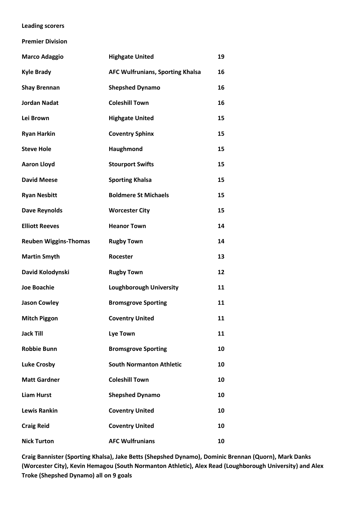#### **Leading scorers**

**Premier Division**

| <b>Marco Adaggio</b>         | <b>Highgate United</b>                  | 19 |
|------------------------------|-----------------------------------------|----|
| <b>Kyle Brady</b>            | <b>AFC Wulfrunians, Sporting Khalsa</b> | 16 |
| <b>Shay Brennan</b>          | <b>Shepshed Dynamo</b>                  | 16 |
| <b>Jordan Nadat</b>          | <b>Coleshill Town</b>                   | 16 |
| Lei Brown                    | <b>Highgate United</b>                  | 15 |
| <b>Ryan Harkin</b>           | <b>Coventry Sphinx</b>                  | 15 |
| <b>Steve Hole</b>            | Haughmond                               | 15 |
| <b>Aaron Lloyd</b>           | <b>Stourport Swifts</b>                 | 15 |
| <b>David Meese</b>           | <b>Sporting Khalsa</b>                  | 15 |
| <b>Ryan Nesbitt</b>          | <b>Boldmere St Michaels</b>             | 15 |
| <b>Dave Reynolds</b>         | <b>Worcester City</b>                   | 15 |
| <b>Elliott Reeves</b>        | <b>Heanor Town</b>                      | 14 |
| <b>Reuben Wiggins-Thomas</b> | <b>Rugby Town</b>                       | 14 |
| <b>Martin Smyth</b>          | Rocester                                | 13 |
| David Kolodynski             | <b>Rugby Town</b>                       | 12 |
| <b>Joe Boachie</b>           | <b>Loughborough University</b>          | 11 |
| <b>Jason Cowley</b>          | <b>Bromsgrove Sporting</b>              | 11 |
| <b>Mitch Piggon</b>          | <b>Coventry United</b>                  | 11 |
| <b>Jack Till</b>             | <b>Lye Town</b>                         | 11 |
| <b>Robbie Bunn</b>           | <b>Bromsgrove Sporting</b>              | 10 |
| <b>Luke Crosby</b>           | <b>South Normanton Athletic</b>         | 10 |
| <b>Matt Gardner</b>          | <b>Coleshill Town</b>                   | 10 |
| <b>Liam Hurst</b>            | <b>Shepshed Dynamo</b>                  | 10 |
| <b>Lewis Rankin</b>          | <b>Coventry United</b>                  | 10 |
| <b>Craig Reid</b>            | <b>Coventry United</b>                  | 10 |
| <b>Nick Turton</b>           | <b>AFC Wulfrunians</b>                  | 10 |

**Craig Bannister (Sporting Khalsa), Jake Betts (Shepshed Dynamo), Dominic Brennan (Quorn), Mark Danks (Worcester City), Kevin Hemagou (South Normanton Athletic), Alex Read (Loughborough University) and Alex Troke (Shepshed Dynamo) all on 9 goals**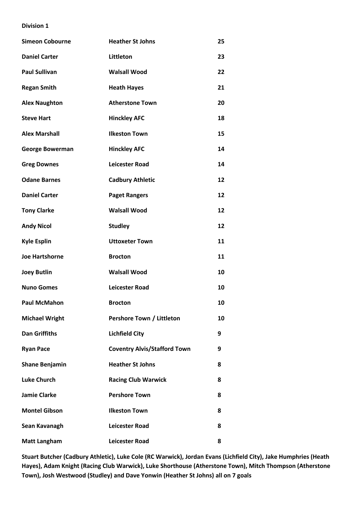| <b>Simeon Cobourne</b> | <b>Heather St Johns</b>             | 25 |
|------------------------|-------------------------------------|----|
| <b>Daniel Carter</b>   | Littleton                           | 23 |
| <b>Paul Sullivan</b>   | <b>Walsall Wood</b>                 | 22 |
| <b>Regan Smith</b>     | <b>Heath Hayes</b>                  | 21 |
| <b>Alex Naughton</b>   | <b>Atherstone Town</b>              | 20 |
| <b>Steve Hart</b>      | <b>Hinckley AFC</b>                 | 18 |
| <b>Alex Marshall</b>   | <b>Ilkeston Town</b>                | 15 |
| <b>George Bowerman</b> | <b>Hinckley AFC</b>                 | 14 |
| <b>Greg Downes</b>     | <b>Leicester Road</b>               | 14 |
| <b>Odane Barnes</b>    | <b>Cadbury Athletic</b>             | 12 |
| <b>Daniel Carter</b>   | <b>Paget Rangers</b>                | 12 |
| <b>Tony Clarke</b>     | <b>Walsall Wood</b>                 | 12 |
| <b>Andy Nicol</b>      | <b>Studley</b>                      | 12 |
| <b>Kyle Esplin</b>     | <b>Uttoxeter Town</b>               | 11 |
| <b>Joe Hartshorne</b>  | <b>Brocton</b>                      | 11 |
| <b>Joey Butlin</b>     | <b>Walsall Wood</b>                 | 10 |
| <b>Nuno Gomes</b>      | <b>Leicester Road</b>               | 10 |
| <b>Paul McMahon</b>    | <b>Brocton</b>                      | 10 |
| <b>Michael Wright</b>  | Pershore Town / Littleton           | 10 |
| <b>Dan Griffiths</b>   | <b>Lichfield City</b>               | 9  |
| <b>Ryan Pace</b>       | <b>Coventry Alvis/Stafford Town</b> | 9  |
| <b>Shane Benjamin</b>  | <b>Heather St Johns</b>             | 8  |
| <b>Luke Church</b>     | <b>Racing Club Warwick</b>          | 8  |
| <b>Jamie Clarke</b>    | <b>Pershore Town</b>                | 8  |
| <b>Montel Gibson</b>   | <b>Ilkeston Town</b>                | 8  |
| Sean Kavanagh          | <b>Leicester Road</b>               | 8  |
| <b>Matt Langham</b>    | <b>Leicester Road</b>               | 8  |

**Stuart Butcher (Cadbury Athletic), Luke Cole (RC Warwick), Jordan Evans (Lichfield City), Jake Humphries (Heath Hayes), Adam Knight (Racing Club Warwick), Luke Shorthouse (Atherstone Town), Mitch Thompson (Atherstone Town), Josh Westwood (Studley) and Dave Yonwin (Heather St Johns) all on 7 goals**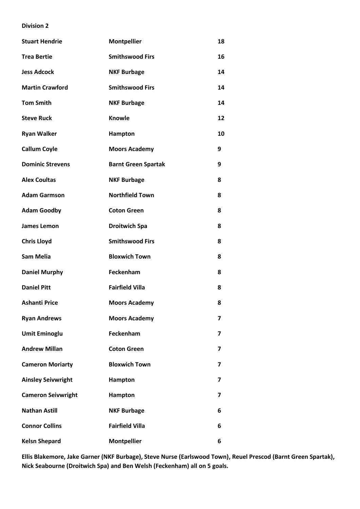| <b>Stuart Hendrie</b>     | <b>Montpellier</b>         | 18 |
|---------------------------|----------------------------|----|
| <b>Trea Bertie</b>        | <b>Smithswood Firs</b>     | 16 |
| <b>Jess Adcock</b>        | <b>NKF Burbage</b>         | 14 |
| <b>Martin Crawford</b>    | <b>Smithswood Firs</b>     | 14 |
| <b>Tom Smith</b>          | <b>NKF Burbage</b>         | 14 |
| <b>Steve Ruck</b>         | <b>Knowle</b>              | 12 |
| <b>Ryan Walker</b>        | Hampton                    | 10 |
| <b>Callum Coyle</b>       | <b>Moors Academy</b>       | 9  |
| <b>Dominic Strevens</b>   | <b>Barnt Green Spartak</b> | 9  |
| <b>Alex Coultas</b>       | <b>NKF Burbage</b>         | 8  |
| <b>Adam Garmson</b>       | <b>Northfield Town</b>     | 8  |
| <b>Adam Goodby</b>        | <b>Coton Green</b>         | 8  |
| <b>James Lemon</b>        | <b>Droitwich Spa</b>       | 8  |
| <b>Chris Lloyd</b>        | <b>Smithswood Firs</b>     | 8  |
| <b>Sam Melia</b>          | <b>Bloxwich Town</b>       | 8  |
| <b>Daniel Murphy</b>      | Feckenham                  | 8  |
| <b>Daniel Pitt</b>        | <b>Fairfield Villa</b>     | 8  |
| <b>Ashanti Price</b>      | <b>Moors Academy</b>       | 8  |
| <b>Ryan Andrews</b>       | <b>Moors Academy</b>       | 7  |
| <b>Umit Eminoglu</b>      | Feckenham                  | 7  |
| <b>Andrew Millan</b>      | <b>Coton Green</b>         | 7  |
| <b>Cameron Moriarty</b>   | <b>Bloxwich Town</b>       | 7  |
| <b>Ainsley Seivwright</b> | Hampton                    | 7  |
| <b>Cameron Seivwright</b> | Hampton                    | 7  |
| <b>Nathan Astill</b>      | <b>NKF Burbage</b>         | 6  |
| <b>Connor Collins</b>     | <b>Fairfield Villa</b>     | 6  |
| <b>Kelsn Shepard</b>      | <b>Montpellier</b>         | 6  |

**Ellis Blakemore, Jake Garner (NKF Burbage), Steve Nurse (Earlswood Town), Reuel Prescod (Barnt Green Spartak), Nick Seabourne (Droitwich Spa) and Ben Welsh (Feckenham) all on 5 goals.**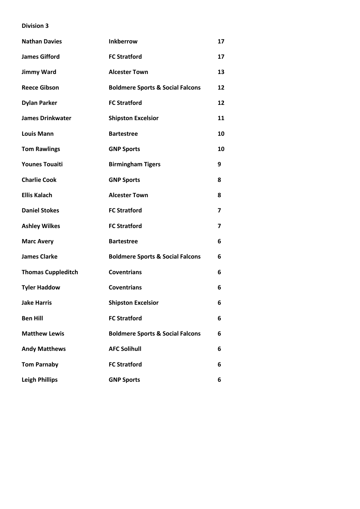| <b>Nathan Davies</b>      | <b>Inkberrow</b>                            | 17                       |
|---------------------------|---------------------------------------------|--------------------------|
| <b>James Gifford</b>      | <b>FC Stratford</b>                         | 17                       |
| <b>Jimmy Ward</b>         | <b>Alcester Town</b>                        | 13                       |
| <b>Reece Gibson</b>       | <b>Boldmere Sports &amp; Social Falcons</b> | 12                       |
| <b>Dylan Parker</b>       | <b>FC Stratford</b>                         | 12                       |
| <b>James Drinkwater</b>   | <b>Shipston Excelsior</b>                   | 11                       |
| <b>Louis Mann</b>         | <b>Bartestree</b>                           | 10                       |
| <b>Tom Rawlings</b>       | <b>GNP Sports</b>                           | 10                       |
| <b>Younes Touaiti</b>     | <b>Birmingham Tigers</b>                    | 9                        |
| <b>Charlie Cook</b>       | <b>GNP Sports</b>                           | 8                        |
| <b>Ellis Kalach</b>       | <b>Alcester Town</b>                        | 8                        |
| <b>Daniel Stokes</b>      | <b>FC Stratford</b>                         | $\overline{\phantom{a}}$ |
| <b>Ashley Wilkes</b>      | <b>FC Stratford</b>                         | 7                        |
| <b>Marc Avery</b>         | <b>Bartestree</b>                           | 6                        |
| <b>James Clarke</b>       | <b>Boldmere Sports &amp; Social Falcons</b> | 6                        |
| <b>Thomas Cuppleditch</b> | <b>Coventrians</b>                          | 6                        |
| <b>Tyler Haddow</b>       | <b>Coventrians</b>                          | 6                        |
| <b>Jake Harris</b>        | <b>Shipston Excelsior</b>                   | 6                        |
| <b>Ben Hill</b>           | <b>FC Stratford</b>                         | 6                        |
| <b>Matthew Lewis</b>      | <b>Boldmere Sports &amp; Social Falcons</b> | 6                        |
| <b>Andy Matthews</b>      | <b>AFC Solihull</b>                         | 6                        |
| <b>Tom Parnaby</b>        | <b>FC Stratford</b>                         | 6                        |
| <b>Leigh Phillips</b>     | <b>GNP Sports</b>                           | 6                        |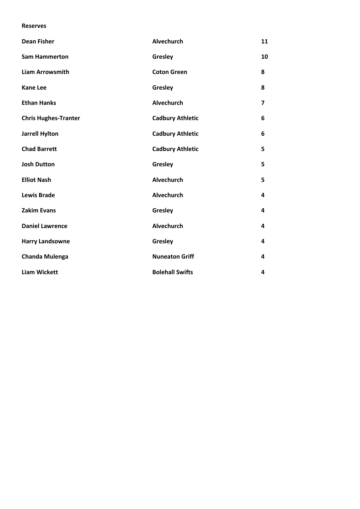#### **Reserves**

| <b>Dean Fisher</b>          | <b>Alvechurch</b>       | 11             |
|-----------------------------|-------------------------|----------------|
| <b>Sam Hammerton</b>        | Gresley                 | 10             |
| <b>Liam Arrowsmith</b>      | <b>Coton Green</b>      | 8              |
| <b>Kane Lee</b>             | Gresley                 | 8              |
| <b>Ethan Hanks</b>          | <b>Alvechurch</b>       | $\overline{7}$ |
| <b>Chris Hughes-Tranter</b> | <b>Cadbury Athletic</b> | 6              |
| <b>Jarrell Hylton</b>       | <b>Cadbury Athletic</b> | 6              |
| <b>Chad Barrett</b>         | <b>Cadbury Athletic</b> | 5              |
| <b>Josh Dutton</b>          | Gresley                 | 5              |
| <b>Elliot Nash</b>          | <b>Alvechurch</b>       | 5              |
| <b>Lewis Brade</b>          | Alvechurch              | 4              |
| <b>Zakim Evans</b>          | Gresley                 | 4              |
| <b>Daniel Lawrence</b>      | Alvechurch              | 4              |
| <b>Harry Landsowne</b>      | Gresley                 | 4              |
| <b>Chanda Mulenga</b>       | <b>Nuneaton Griff</b>   | 4              |
| <b>Liam Wickett</b>         | <b>Bolehall Swifts</b>  | 4              |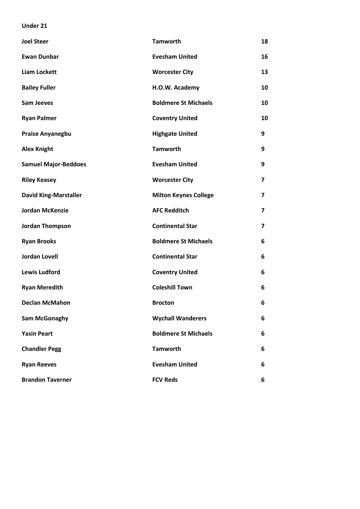#### **Under 21**

| <b>Joel Steer</b>            | <b>Tamworth</b>              | 18                      |
|------------------------------|------------------------------|-------------------------|
| <b>Ewan Dunbar</b>           | <b>Evesham United</b>        | 16                      |
| <b>Liam Lockett</b>          | <b>Worcester City</b>        | 13                      |
| <b>Bailey Fuller</b>         | H.O.W. Academy               | 10                      |
| <b>Sam Jeeves</b>            | <b>Boldmere St Michaels</b>  | 10                      |
| <b>Ryan Palmer</b>           | <b>Coventry United</b>       | 10                      |
| <b>Praise Anyanegbu</b>      | <b>Highgate United</b>       | 9                       |
| <b>Alex Knight</b>           | <b>Tamworth</b>              | 9                       |
| <b>Samuel Major-Beddoes</b>  | <b>Evesham United</b>        | 9                       |
| <b>Riley Keasey</b>          | <b>Worcester City</b>        | $\overline{\mathbf{z}}$ |
| <b>David King-Marstaller</b> | <b>Milton Keynes College</b> | 7                       |
| <b>Jordan McKenzie</b>       | <b>AFC Redditch</b>          | $\overline{\mathbf{z}}$ |
| <b>Jordan Thompson</b>       | <b>Continental Star</b>      | $\overline{\mathbf{z}}$ |
| <b>Ryan Brooks</b>           | <b>Boldmere St Michaels</b>  | 6                       |
| <b>Jordan Lovell</b>         | <b>Continental Star</b>      | 6                       |
| <b>Lewis Ludford</b>         | <b>Coventry United</b>       | 6                       |
| <b>Ryan Meredith</b>         | <b>Coleshill Town</b>        | 6                       |
| <b>Declan McMahon</b>        | <b>Brocton</b>               | 6                       |
| <b>Sam McGonaghy</b>         | <b>Wychall Wanderers</b>     | 6                       |
| <b>Yasin Peart</b>           | <b>Boldmere St Michaels</b>  | 6                       |
| <b>Chandler Pegg</b>         | <b>Tamworth</b>              | 6                       |
| <b>Ryan Reeves</b>           | <b>Evesham United</b>        | 6                       |
| <b>Brandon Taverner</b>      | <b>FCV Reds</b>              | 6                       |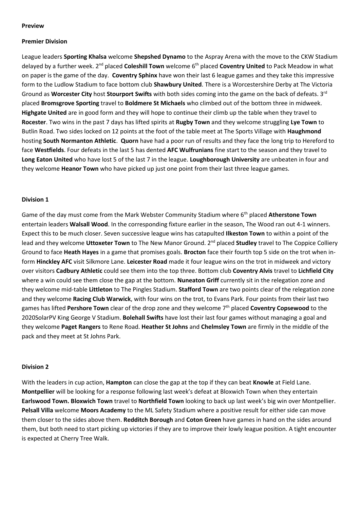#### **Preview**

#### **Premier Division**

League leaders **Sporting Khalsa** welcome **Shepshed Dynamo** to the Aspray Arena with the move to the CKW Stadium delayed by a further week. 2nd placed **Coleshill Town** welcome 6th placed **Coventry United** to Pack Meadow in what on paper is the game of the day. **Coventry Sphinx** have won their last 6 league games and they take this impressive form to the Ludlow Stadium to face bottom club **Shawbury United**. There is a Worcestershire Derby at The Victoria Ground as **Worcester City** host **Stourport Swifts** with both sides coming into the game on the back of defeats. 3rd placed **Bromsgrove Sporting** travel to **Boldmere St Michaels** who climbed out of the bottom three in midweek. **Highgate United** are in good form and they will hope to continue their climb up the table when they travel to **Rocester**. Two wins in the past 7 days has lifted spirits at **Rugby Town** and they welcome struggling **Lye Town** to Butlin Road. Two sides locked on 12 points at the foot of the table meet at The Sports Village with **Haughmond** hosting **South Normanton Athletic**. **Quorn** have had a poor run of results and they face the long trip to Hereford to face **Westfields**. Four defeats in the last 5 has dented **AFC Wulfrunians** fine start to the season and they travel to **Long Eaton United** who have lost 5 of the last 7 in the league. **Loughborough University** are unbeaten in four and they welcome **Heanor Town** who have picked up just one point from their last three league games.

#### **Division 1**

Game of the day must come from the Mark Webster Community Stadium where 6th placed **Atherstone Town** entertain leaders **Walsall Wood**. In the corresponding fixture earlier in the season, The Wood ran out 4-1 winners. Expect this to be much closer. Seven successive league wins has catapulted **Ilkeston Town** to within a point of the lead and they welcome Uttoxeter Town to The New Manor Ground. 2<sup>nd</sup> placed Studley travel to The Coppice Colliery Ground to face **Heath Hayes** in a game that promises goals. **Brocton** face their fourth top 5 side on the trot when inform **Hinckley AFC** visit Silkmore Lane. **Leicester Road** made it four league wins on the trot in midweek and victory over visitors **Cadbury Athletic** could see them into the top three. Bottom club **Coventry Alvis** travel to **Lichfield City** where a win could see them close the gap at the bottom. **Nuneaton Griff** currently sit in the relegation zone and they welcome mid-table **Littleton** to The Pingles Stadium. **Stafford Town** are two points clear of the relegation zone and they welcome **Racing Club Warwick**, with four wins on the trot, to Evans Park. Four points from their last two games has lifted **Pershore Town** clear of the drop zone and they welcome 7th placed **Coventry Copsewood** to the 2020SolarPV King George V Stadium. **Bolehall Swifts** have lost their last four games without managing a goal and they welcome **Paget Rangers** to Rene Road. **Heather St Johns** and **Chelmsley Town** are firmly in the middle of the pack and they meet at St Johns Park.

#### **Division 2**

With the leaders in cup action, **Hampton** can close the gap at the top if they can beat **Knowle** at Field Lane. **Montpellier** will be looking for a response following last week's defeat at Bloxwich Town when they entertain **Earlswood Town. Bloxwich Town** travel to **Northfield Town** looking to back up last week's big win over Montpellier. **Pelsall Villa** welcome **Moors Academy** to the ML Safety Stadium where a positive result for either side can move them closer to the sides above them. **Redditch Borough** and **Coton Green** have games in hand on the sides around them, but both need to start picking up victories if they are to improve their lowly league position. A tight encounter is expected at Cherry Tree Walk.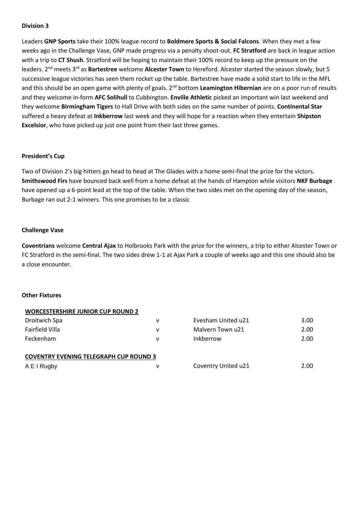Leaders **GNP Sports** take their 100% league record to **Boldmere Sports & Social Falcons**. When they met a few weeks ago in the Challenge Vase, GNP made progress via a penalty shoot-out. **FC Stratford** are back in league action with a trip to **CT Shush**. Stratford will be hoping to maintain their 100% record to keep up the pressure on the leaders. 2nd meets 3rd as **Bartestree** welcome **Alcester Town** to Hereford. Alcester started the season slowly, but 5 successive league victories has seen them rocket up the table. Bartestree have made a solid start to life in the MFL and this should be an open game with plenty of goals. 2nd bottom **Leamington Hibernian** are on a poor run of results and they welcome in-form **AFC Solihull** to Cubbington. **Enville Athletic** picked an important win last weekend and they welcome **Birmingham Tigers** to Hall Drive with both sides on the same number of points. **Continental Star** suffered a heavy defeat at **Inkberrow** last week and they will hope for a reaction when they entertain **Shipston Excelsior**, who have picked up just one point from their last three games.

#### **President's Cup**

Two of Division 2's big hitters go head to head at The Glades with a home semi-final the prize for the victors. **Smithswood Firs** have bounced back well from a home defeat at the hands of Hampton while visitors **NKF Burbage** have opened up a 6-point lead at the top of the table. When the two sides met on the opening day of the season, Burbage ran out 2-1 winners. This one promises to be a classic

#### **Challenge Vase**

**Coventrians** welcome **Central Ajax** to Holbrooks Park with the prize for the winners, a trip to either Alcester Town or FC Stratford in the semi-final. The two sides drew 1-1 at Ajax Park a couple of weeks ago and this one should also be a close encounter.

#### **Other Fixtures**

| <b>WORCESTERSHIRE JUNIOR CUP ROUND 2</b>      |   |                     |      |  |  |
|-----------------------------------------------|---|---------------------|------|--|--|
| Droitwich Spa                                 | v | Evesham United u21  | 3.00 |  |  |
| <b>Fairfield Villa</b>                        | ۷ | Malvern Town u21    | 2.00 |  |  |
| Feckenham                                     | v | Inkberrow           | 2.00 |  |  |
| <b>COVENTRY EVENING TELEGRAPH CUP ROUND 3</b> |   |                     |      |  |  |
| A E I Rugby                                   | v | Coventry United u21 | 2.00 |  |  |
|                                               |   |                     |      |  |  |